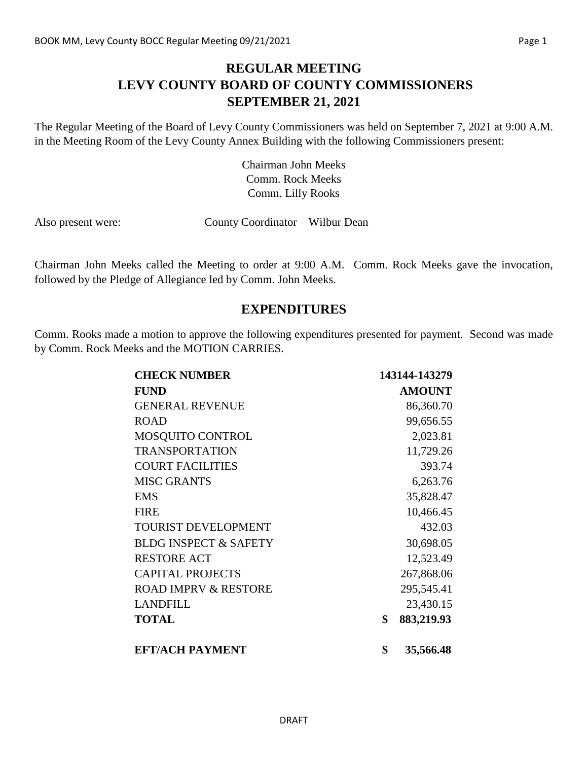## **REGULAR MEETING LEVY COUNTY BOARD OF COUNTY COMMISSIONERS SEPTEMBER 21, 2021**

The Regular Meeting of the Board of Levy County Commissioners was held on September 7, 2021 at 9:00 A.M. in the Meeting Room of the Levy County Annex Building with the following Commissioners present:

> Chairman John Meeks Comm. Rock Meeks Comm. Lilly Rooks

Also present were: County Coordinator – Wilbur Dean

Chairman John Meeks called the Meeting to order at 9:00 A.M. Comm. Rock Meeks gave the invocation, followed by the Pledge of Allegiance led by Comm. John Meeks.

#### **EXPENDITURES**

Comm. Rooks made a motion to approve the following expenditures presented for payment. Second was made by Comm. Rock Meeks and the MOTION CARRIES.

| <b>CHECK NUMBER</b>              | 143144-143279    |
|----------------------------------|------------------|
| <b>FUND</b>                      | <b>AMOUNT</b>    |
| <b>GENERAL REVENUE</b>           | 86,360.70        |
| <b>ROAD</b>                      | 99,656.55        |
| MOSQUITO CONTROL                 | 2,023.81         |
| <b>TRANSPORTATION</b>            | 11,729.26        |
| <b>COURT FACILITIES</b>          | 393.74           |
| <b>MISC GRANTS</b>               | 6,263.76         |
| <b>EMS</b>                       | 35,828.47        |
| <b>FIRE</b>                      | 10,466.45        |
| <b>TOURIST DEVELOPMENT</b>       | 432.03           |
| <b>BLDG INSPECT &amp; SAFETY</b> | 30,698.05        |
| <b>RESTORE ACT</b>               | 12,523.49        |
| <b>CAPITAL PROJECTS</b>          | 267,868.06       |
| <b>ROAD IMPRV &amp; RESTORE</b>  | 295,545.41       |
| <b>LANDFILL</b>                  | 23,430.15        |
| <b>TOTAL</b>                     | \$<br>883,219.93 |
| <b>EFT/ACH PAYMENT</b>           | \$<br>35,566.48  |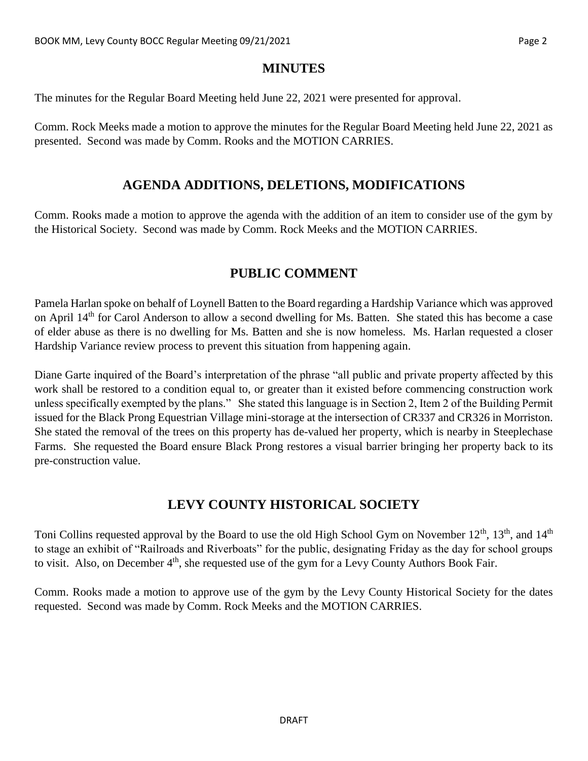#### **MINUTES**

The minutes for the Regular Board Meeting held June 22, 2021 were presented for approval.

Comm. Rock Meeks made a motion to approve the minutes for the Regular Board Meeting held June 22, 2021 as presented. Second was made by Comm. Rooks and the MOTION CARRIES.

#### **AGENDA ADDITIONS, DELETIONS, MODIFICATIONS**

Comm. Rooks made a motion to approve the agenda with the addition of an item to consider use of the gym by the Historical Society. Second was made by Comm. Rock Meeks and the MOTION CARRIES.

# **PUBLIC COMMENT**

Pamela Harlan spoke on behalf of Loynell Batten to the Board regarding a Hardship Variance which was approved on April 14th for Carol Anderson to allow a second dwelling for Ms. Batten. She stated this has become a case of elder abuse as there is no dwelling for Ms. Batten and she is now homeless. Ms. Harlan requested a closer Hardship Variance review process to prevent this situation from happening again.

Diane Garte inquired of the Board's interpretation of the phrase "all public and private property affected by this work shall be restored to a condition equal to, or greater than it existed before commencing construction work unless specifically exempted by the plans." She stated this language is in Section 2, Item 2 of the Building Permit issued for the Black Prong Equestrian Village mini-storage at the intersection of CR337 and CR326 in Morriston. She stated the removal of the trees on this property has de-valued her property, which is nearby in Steeplechase Farms. She requested the Board ensure Black Prong restores a visual barrier bringing her property back to its pre-construction value.

## **LEVY COUNTY HISTORICAL SOCIETY**

Toni Collins requested approval by the Board to use the old High School Gym on November  $12^{th}$ ,  $13^{th}$ , and  $14^{th}$ to stage an exhibit of "Railroads and Riverboats" for the public, designating Friday as the day for school groups to visit. Also, on December  $4<sup>th</sup>$ , she requested use of the gym for a Levy County Authors Book Fair.

Comm. Rooks made a motion to approve use of the gym by the Levy County Historical Society for the dates requested. Second was made by Comm. Rock Meeks and the MOTION CARRIES.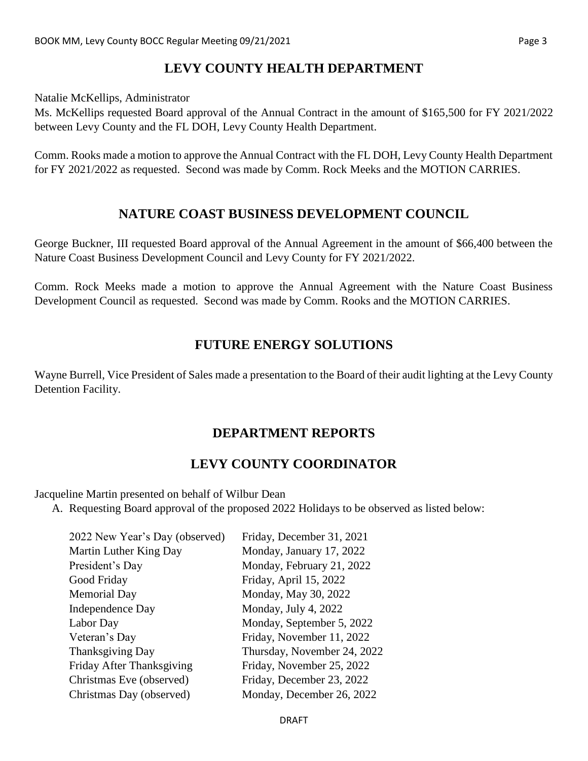# **LEVY COUNTY HEALTH DEPARTMENT**

Natalie McKellips, Administrator

Ms. McKellips requested Board approval of the Annual Contract in the amount of \$165,500 for FY 2021/2022 between Levy County and the FL DOH, Levy County Health Department.

Comm. Rooks made a motion to approve the Annual Contract with the FL DOH, Levy County Health Department for FY 2021/2022 as requested. Second was made by Comm. Rock Meeks and the MOTION CARRIES.

#### **NATURE COAST BUSINESS DEVELOPMENT COUNCIL**

George Buckner, III requested Board approval of the Annual Agreement in the amount of \$66,400 between the Nature Coast Business Development Council and Levy County for FY 2021/2022.

Comm. Rock Meeks made a motion to approve the Annual Agreement with the Nature Coast Business Development Council as requested. Second was made by Comm. Rooks and the MOTION CARRIES.

# **FUTURE ENERGY SOLUTIONS**

Wayne Burrell, Vice President of Sales made a presentation to the Board of their audit lighting at the Levy County Detention Facility.

## **DEPARTMENT REPORTS**

# **LEVY COUNTY COORDINATOR**

Jacqueline Martin presented on behalf of Wilbur Dean

A. Requesting Board approval of the proposed 2022 Holidays to be observed as listed below:

| Friday, December 31, 2021   |
|-----------------------------|
| Monday, January 17, 2022    |
| Monday, February 21, 2022   |
| Friday, April 15, 2022      |
| Monday, May 30, 2022        |
| Monday, July 4, 2022        |
| Monday, September 5, 2022   |
| Friday, November 11, 2022   |
| Thursday, November 24, 2022 |
| Friday, November 25, 2022   |
| Friday, December 23, 2022   |
| Monday, December 26, 2022   |
|                             |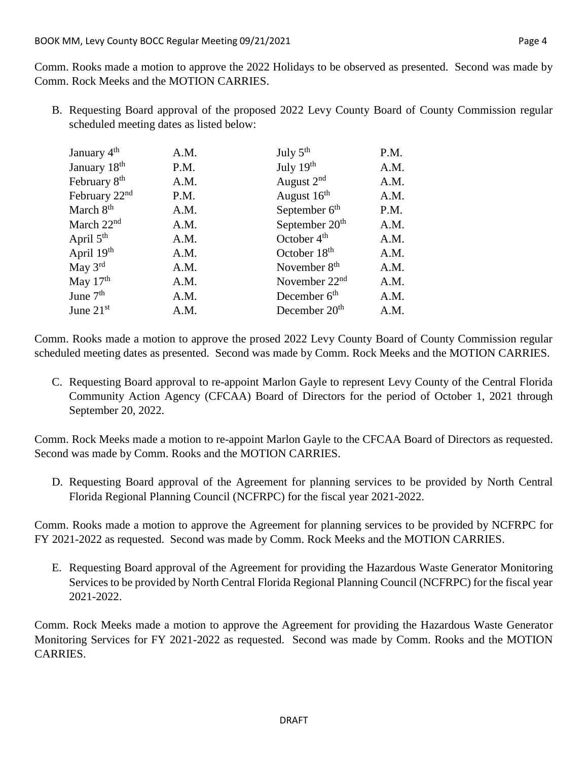B. Requesting Board approval of the proposed 2022 Levy County Board of County Commission regular scheduled meeting dates as listed below:

| January 4 <sup>th</sup>   | A.M. | July $5^{\text{th}}$       | P.M. |
|---------------------------|------|----------------------------|------|
| January 18 <sup>th</sup>  | P.M. | July 19th                  | A.M. |
| February 8 <sup>th</sup>  | A.M. | August 2 <sup>nd</sup>     | A.M. |
| February 22 <sup>nd</sup> | P.M. | August 16 <sup>th</sup>    | A.M. |
| March 8 <sup>th</sup>     | A.M. | September 6 <sup>th</sup>  | P.M. |
| March 22 <sup>nd</sup>    | A.M. | September 20 <sup>th</sup> | A.M. |
| April 5 <sup>th</sup>     | A.M. | October $4th$              | A.M. |
| April 19 <sup>th</sup>    | A.M. | October 18 <sup>th</sup>   | A.M. |
| May $3^{\text{rd}}$       | A.M. | November 8 <sup>th</sup>   | A.M. |
| May $17th$                | A.M. | November $22nd$            | A.M. |
| June 7 <sup>th</sup>      | A.M. | December $6th$             | A.M. |
| June $21st$               | A.M. | December 20 <sup>th</sup>  | A.M. |

Comm. Rooks made a motion to approve the prosed 2022 Levy County Board of County Commission regular scheduled meeting dates as presented. Second was made by Comm. Rock Meeks and the MOTION CARRIES.

C. Requesting Board approval to re-appoint Marlon Gayle to represent Levy County of the Central Florida Community Action Agency (CFCAA) Board of Directors for the period of October 1, 2021 through September 20, 2022.

Comm. Rock Meeks made a motion to re-appoint Marlon Gayle to the CFCAA Board of Directors as requested. Second was made by Comm. Rooks and the MOTION CARRIES.

D. Requesting Board approval of the Agreement for planning services to be provided by North Central Florida Regional Planning Council (NCFRPC) for the fiscal year 2021-2022.

Comm. Rooks made a motion to approve the Agreement for planning services to be provided by NCFRPC for FY 2021-2022 as requested. Second was made by Comm. Rock Meeks and the MOTION CARRIES.

E. Requesting Board approval of the Agreement for providing the Hazardous Waste Generator Monitoring Services to be provided by North Central Florida Regional Planning Council (NCFRPC) for the fiscal year 2021-2022.

Comm. Rock Meeks made a motion to approve the Agreement for providing the Hazardous Waste Generator Monitoring Services for FY 2021-2022 as requested. Second was made by Comm. Rooks and the MOTION CARRIES.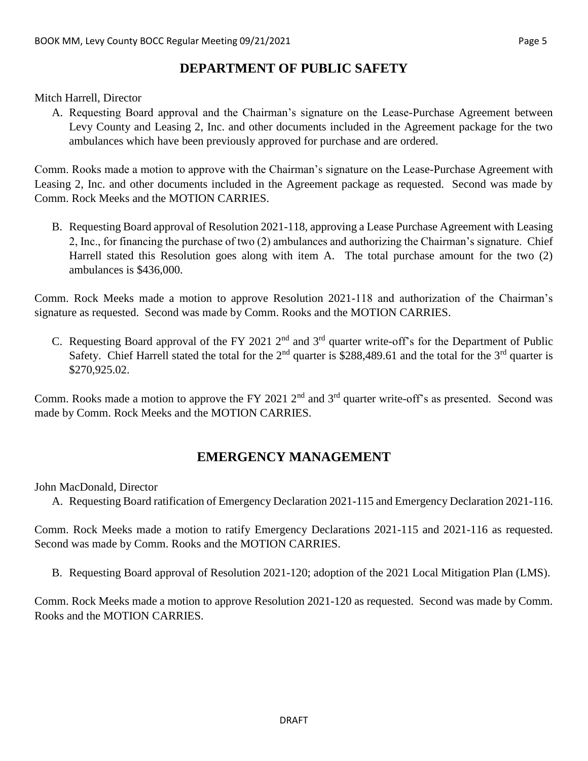## **DEPARTMENT OF PUBLIC SAFETY**

Mitch Harrell, Director

A. Requesting Board approval and the Chairman's signature on the Lease-Purchase Agreement between Levy County and Leasing 2, Inc. and other documents included in the Agreement package for the two ambulances which have been previously approved for purchase and are ordered.

Comm. Rooks made a motion to approve with the Chairman's signature on the Lease-Purchase Agreement with Leasing 2, Inc. and other documents included in the Agreement package as requested. Second was made by Comm. Rock Meeks and the MOTION CARRIES.

B. Requesting Board approval of Resolution 2021-118, approving a Lease Purchase Agreement with Leasing 2, Inc., for financing the purchase of two (2) ambulances and authorizing the Chairman's signature. Chief Harrell stated this Resolution goes along with item A. The total purchase amount for the two (2) ambulances is \$436,000.

Comm. Rock Meeks made a motion to approve Resolution 2021-118 and authorization of the Chairman's signature as requested. Second was made by Comm. Rooks and the MOTION CARRIES.

C. Requesting Board approval of the FY 2021  $2<sup>nd</sup>$  and  $3<sup>rd</sup>$  quarter write-off's for the Department of Public Safety. Chief Harrell stated the total for the  $2<sup>nd</sup>$  quarter is \$288,489.61 and the total for the  $3<sup>rd</sup>$  quarter is \$270,925.02.

Comm. Rooks made a motion to approve the FY 2021 2<sup>nd</sup> and 3<sup>rd</sup> quarter write-off's as presented. Second was made by Comm. Rock Meeks and the MOTION CARRIES.

# **EMERGENCY MANAGEMENT**

John MacDonald, Director

A. Requesting Board ratification of Emergency Declaration 2021-115 and Emergency Declaration 2021-116.

Comm. Rock Meeks made a motion to ratify Emergency Declarations 2021-115 and 2021-116 as requested. Second was made by Comm. Rooks and the MOTION CARRIES.

B. Requesting Board approval of Resolution 2021-120; adoption of the 2021 Local Mitigation Plan (LMS).

Comm. Rock Meeks made a motion to approve Resolution 2021-120 as requested. Second was made by Comm. Rooks and the MOTION CARRIES.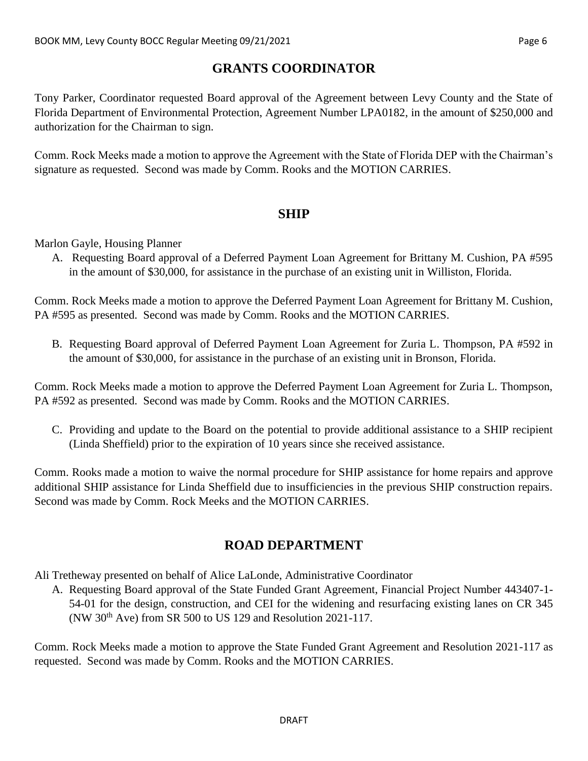# **GRANTS COORDINATOR**

Tony Parker, Coordinator requested Board approval of the Agreement between Levy County and the State of Florida Department of Environmental Protection, Agreement Number LPA0182, in the amount of \$250,000 and authorization for the Chairman to sign.

Comm. Rock Meeks made a motion to approve the Agreement with the State of Florida DEP with the Chairman's signature as requested. Second was made by Comm. Rooks and the MOTION CARRIES.

#### **SHIP**

Marlon Gayle, Housing Planner

A. Requesting Board approval of a Deferred Payment Loan Agreement for Brittany M. Cushion, PA #595 in the amount of \$30,000, for assistance in the purchase of an existing unit in Williston, Florida.

Comm. Rock Meeks made a motion to approve the Deferred Payment Loan Agreement for Brittany M. Cushion, PA #595 as presented. Second was made by Comm. Rooks and the MOTION CARRIES.

B. Requesting Board approval of Deferred Payment Loan Agreement for Zuria L. Thompson, PA #592 in the amount of \$30,000, for assistance in the purchase of an existing unit in Bronson, Florida.

Comm. Rock Meeks made a motion to approve the Deferred Payment Loan Agreement for Zuria L. Thompson, PA #592 as presented. Second was made by Comm. Rooks and the MOTION CARRIES.

C. Providing and update to the Board on the potential to provide additional assistance to a SHIP recipient (Linda Sheffield) prior to the expiration of 10 years since she received assistance.

Comm. Rooks made a motion to waive the normal procedure for SHIP assistance for home repairs and approve additional SHIP assistance for Linda Sheffield due to insufficiencies in the previous SHIP construction repairs. Second was made by Comm. Rock Meeks and the MOTION CARRIES.

## **ROAD DEPARTMENT**

Ali Tretheway presented on behalf of Alice LaLonde, Administrative Coordinator

A. Requesting Board approval of the State Funded Grant Agreement, Financial Project Number 443407-1- 54-01 for the design, construction, and CEI for the widening and resurfacing existing lanes on CR 345 (NW 30th Ave) from SR 500 to US 129 and Resolution 2021-117.

Comm. Rock Meeks made a motion to approve the State Funded Grant Agreement and Resolution 2021-117 as requested. Second was made by Comm. Rooks and the MOTION CARRIES.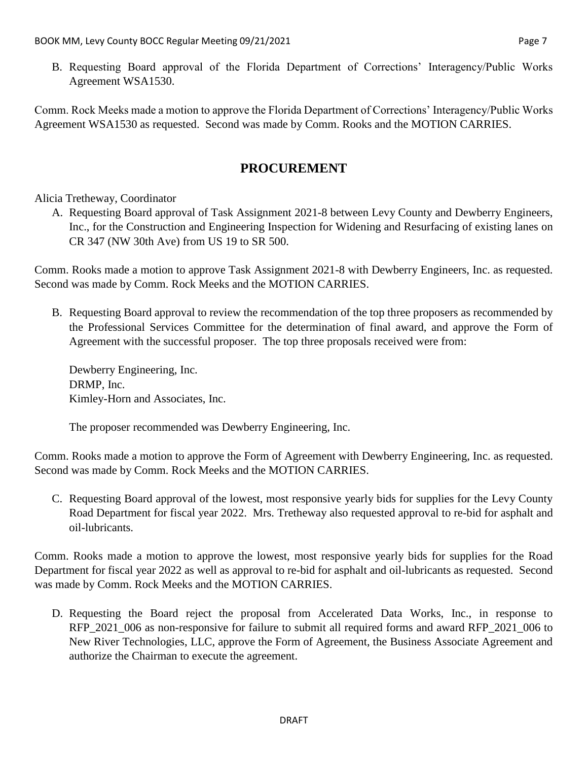B. Requesting Board approval of the Florida Department of Corrections' Interagency/Public Works Agreement WSA1530.

Comm. Rock Meeks made a motion to approve the Florida Department of Corrections' Interagency/Public Works Agreement WSA1530 as requested. Second was made by Comm. Rooks and the MOTION CARRIES.

#### **PROCUREMENT**

#### Alicia Tretheway, Coordinator

A. Requesting Board approval of Task Assignment 2021-8 between Levy County and Dewberry Engineers, Inc., for the Construction and Engineering Inspection for Widening and Resurfacing of existing lanes on CR 347 (NW 30th Ave) from US 19 to SR 500.

Comm. Rooks made a motion to approve Task Assignment 2021-8 with Dewberry Engineers, Inc. as requested. Second was made by Comm. Rock Meeks and the MOTION CARRIES.

B. Requesting Board approval to review the recommendation of the top three proposers as recommended by the Professional Services Committee for the determination of final award, and approve the Form of Agreement with the successful proposer. The top three proposals received were from:

Dewberry Engineering, Inc. DRMP, Inc. Kimley-Horn and Associates, Inc.

The proposer recommended was Dewberry Engineering, Inc.

Comm. Rooks made a motion to approve the Form of Agreement with Dewberry Engineering, Inc. as requested. Second was made by Comm. Rock Meeks and the MOTION CARRIES.

C. Requesting Board approval of the lowest, most responsive yearly bids for supplies for the Levy County Road Department for fiscal year 2022. Mrs. Tretheway also requested approval to re-bid for asphalt and oil-lubricants.

Comm. Rooks made a motion to approve the lowest, most responsive yearly bids for supplies for the Road Department for fiscal year 2022 as well as approval to re-bid for asphalt and oil-lubricants as requested. Second was made by Comm. Rock Meeks and the MOTION CARRIES.

D. Requesting the Board reject the proposal from Accelerated Data Works, Inc., in response to RFP\_2021\_006 as non-responsive for failure to submit all required forms and award RFP\_2021\_006 to New River Technologies, LLC, approve the Form of Agreement, the Business Associate Agreement and authorize the Chairman to execute the agreement.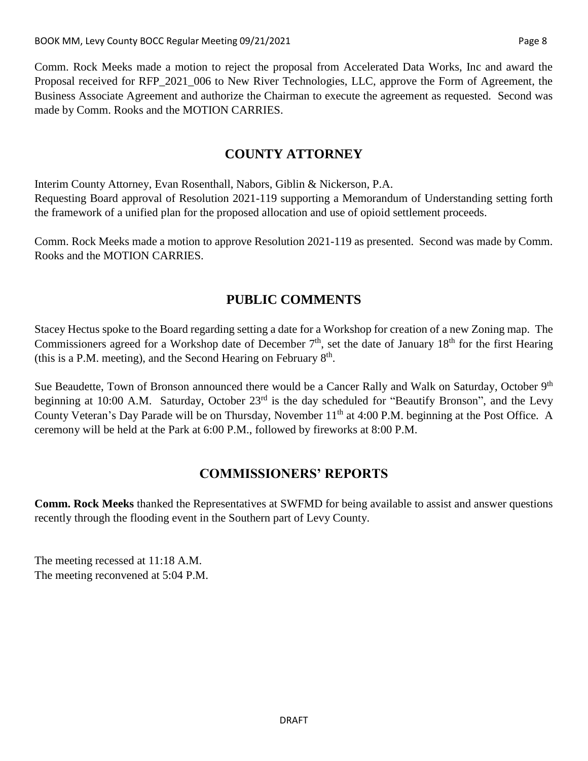Comm. Rock Meeks made a motion to reject the proposal from Accelerated Data Works, Inc and award the Proposal received for RFP\_2021\_006 to New River Technologies, LLC, approve the Form of Agreement, the Business Associate Agreement and authorize the Chairman to execute the agreement as requested. Second was made by Comm. Rooks and the MOTION CARRIES.

#### **COUNTY ATTORNEY**

Interim County Attorney, Evan Rosenthall, Nabors, Giblin & Nickerson, P.A. Requesting Board approval of Resolution 2021-119 supporting a Memorandum of Understanding setting forth the framework of a unified plan for the proposed allocation and use of opioid settlement proceeds.

Comm. Rock Meeks made a motion to approve Resolution 2021-119 as presented. Second was made by Comm. Rooks and the MOTION CARRIES.

#### **PUBLIC COMMENTS**

Stacey Hectus spoke to the Board regarding setting a date for a Workshop for creation of a new Zoning map. The Commissioners agreed for a Workshop date of December  $7<sup>th</sup>$ , set the date of January  $18<sup>th</sup>$  for the first Hearing (this is a P.M. meeting), and the Second Hearing on February  $8<sup>th</sup>$ .

Sue Beaudette, Town of Bronson announced there would be a Cancer Rally and Walk on Saturday, October 9<sup>th</sup> beginning at 10:00 A.M. Saturday, October 23<sup>rd</sup> is the day scheduled for "Beautify Bronson", and the Levy County Veteran's Day Parade will be on Thursday, November 11<sup>th</sup> at 4:00 P.M. beginning at the Post Office. A ceremony will be held at the Park at 6:00 P.M., followed by fireworks at 8:00 P.M.

## **COMMISSIONERS' REPORTS**

**Comm. Rock Meeks** thanked the Representatives at SWFMD for being available to assist and answer questions recently through the flooding event in the Southern part of Levy County.

The meeting recessed at 11:18 A.M. The meeting reconvened at 5:04 P.M.